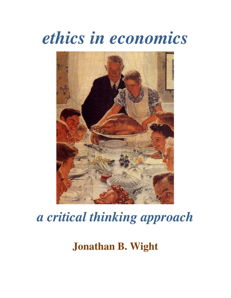# *ethics in economics*



## *a critical thinking approach*

### **Jonathan B. Wight**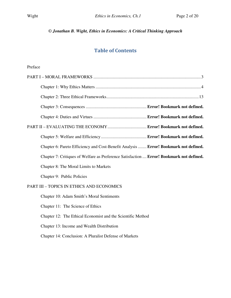#### *© Jonathan B. Wight, Ethics in Economics: A Critical Thinking Approach*

#### Table of Contents

#### Preface

| Chapter 6: Pareto Efficiency and Cost-Benefit Analysis  Error! Bookmark not defined.     |  |
|------------------------------------------------------------------------------------------|--|
| Chapter 7: Critiques of Welfare as Preference Satisfaction  Error! Bookmark not defined. |  |
| Chapter 8: The Moral Limits to Markets                                                   |  |
| Chapter 9: Public Policies                                                               |  |
| PART III - TOPICS IN ETHICS AND ECONOMICS                                                |  |
| Chapter 10: Adam Smith's Moral Sentiments                                                |  |
| Chapter 11: The Science of Ethics                                                        |  |
| Chapter 12: The Ethical Economist and the Scientific Method                              |  |
| Chapter 13: Income and Wealth Distribution                                               |  |
| Chapter 14: Conclusion: A Pluralist Defense of Markets                                   |  |
|                                                                                          |  |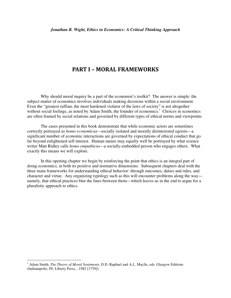#### PART I – MORAL FRAMEWORKS

Why should moral inquiry be a part of the economist's toolkit? The answer is simple: the subject matter of economics involves individuals making decisions within a social environment. Even the "greatest ruffian, the most hardened violator of the laws of society" is not altogether without social feelings, as noted by Adam Smith, the founder of economics.<sup>1</sup> Choices in economics are often framed by social relations and governed by different types of ethical norms and viewpoints.

The cases presented in this book demonstrate that while economic actors are sometimes correctly portrayed as *homo economicus—*socially isolated and morally disinterested egoists—a significant number of economic interactions are governed by expectations of ethical conduct that go far beyond enlightened self interest. Human nature may equally well be portrayed by what science writer Matt Ridley calls *homo empathicus—*a socially-embedded person who engages others. What exactly this means we will explore.

In this opening chapter we begin by reinforcing the point that ethics is an integral part of doing economics, in both its positive and normative dimensions. Subsequent chapters deal with the three main frameworks for understanding ethical behavior: through outcomes, duties and rules, and character and virtue. Any organizing typology such as this will encounter problems along the way namely, that ethical practices blur the lines between them—which leaves us in the end to argue for a pluralistic approach to ethics.

 $\overline{a}$ 

<sup>&</sup>lt;sup>1</sup> Adam Smith, *The Theory of Moral Sentiments*. D.D. Raphael and A.L. Macfie, eds. Glasgow Editions (Indianapolis, IN: Liberty Press, , 1982 [1759]).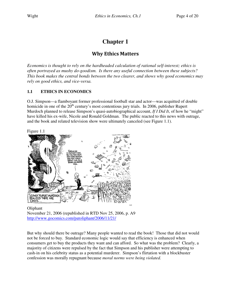#### **Chapter 1**

#### Why Ethics Matters

*Economics is thought to rely on the hardheaded calculation of rational self-interest; ethics is often portrayed as mushy do-goodism. Is there any useful connection between these subjects? This book makes the central bonds between the two clearer, and shows why good economics may rely on good ethics, and vice-versa.* 

#### **1.1 ETHICS IN ECONOMICS**

O.J. Simpson—a flamboyant former professional football star and actor—was acquitted of double homicide in one of the 20<sup>th</sup> century's most contentious jury trials. In 2006, publisher Rupert Murdoch planned to release Simpson's quasi-autobiographical account, *If I Did It*, of how he "might" have killed his ex-wife, Nicole and Ronald Goldman. The public reacted to this news with outrage, and the book and related television show were ultimately canceled (see Figure 1.1).





Oliphant November 21, 2006 (republished in RTD Nov 25, 2006, p. A9 http://www.gocomics.com/patoliphant/2006/11/21/

But why should there be outrage? Many people wanted to read the book! Those that did not would not be forced to buy. Standard economic logic would say that efficiency is enhanced when consumers get to buy the products they want and can afford. So what was the problem? Clearly, a majority of citizens were repulsed by the fact that Simpson and his publisher were attempting to cash-in on his celebrity status as a potential murderer. Simpson's flirtation with a blockbuster confession was morally repugnant because *moral norms were being violated.*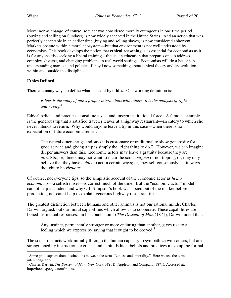Moral norms change, of course, so what was considered morally outrageous in one time period (buying and selling on Sundays) is now widely accepted in the United States. And an action that was perfectly acceptable in an earlier time (buying and selling slaves) is now considered abhorrent. Markets operate within a moral ecosystem—but that environment is not well understood by economists. This book develops the notion that **ethical reasoning** is as essential for economists as it is for anyone else seeking a liberal training—that is, an education that prepares one to address complex, diverse, and changing problems in real-world settings. Economists will do a better job understanding markets and policies if they know something about ethical theory and its evolution within and outside the discipline.

#### **Ethics Defined**

There are many ways to define what is meant by **ethics**. One working definition is:

*Ethics is the study of one's proper interactions with others: it is the analysis of right and wrong.<sup>2</sup>*

Ethical beliefs and practices constitute a vast and unseen institutional force. A famous example is the generous tip that a satisfied traveler leaves at a highway restaurant—an eatery to which she never intends to return. Why would anyone leave a tip in this case—when there is no expectation of future economic return?

The typical diner shrugs and says it is customary or traditional to show generosity for good service and giving a tip is simply the "right thing to do." However, we can imagine deeper answers than this. Economic actors may leave a gratuity because they are *altruistic*; or, diners may not want to incur the social *stigma* of not tipping; or, they may believe that they have a *duty* to act in certain ways; or, they self consciously act in ways thought to be *virtuous*.

Of course, not everyone tips, so the simplistic account of the economic actor as *homo economicus*—a selfish miser—is correct much of the time. But the "economic actor" model cannot help us understand why O.J. Simpson's book was booed out of the market before production, nor can it help us explain generous highway restaurant tips.

The greatest distinction between humans and other animals is not our rational minds, Charles Darwin argued, but our moral capabilities which allow us to cooperate. These capabilities are honed instinctual responses. In his conclusion to *The Descent of Man* (1871), Darwin noted that:

Any instinct, permanently stronger or more enduring than another, gives rise to a feeling which we express by saying that it ought to be obeyed.<sup>3</sup>

The social instincts work initially through the human capacity to sympathize with others, but are strengthened by instruction, exercise, and habit. Ethical beliefs and practices make up the formal

<sup>&</sup>lt;sup>2</sup> Some philosophers draw distinctions between the terms "ethics" and "morality." Here we use the terms

interchangeably. 3 Charles Darwin, *The Descent of Man* (New York, NY: D. Appleton and Company, 1871). Accessed at: http://books.google.com/books.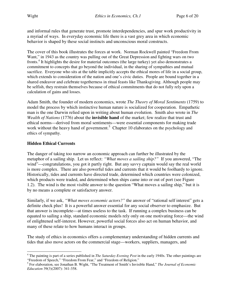and informal rules that generate trust, promote interdependencies, and spur work productivity in a myriad of ways. In everyday economic life there is a vast grey area in which economic behavior is shaped by these social instincts and unconscious moral constructs.

The cover of this book illustrates the forces at work. Norman Rockwell painted "Freedom From Want," in 1943 as the country was pulling out of the Great Depression and fighting wars on two fronts.<sup>4</sup> It highlights the desire for material outcomes (the large turkey) yet also demonstrates a commitment to concepts that go beyond the individual, in the sharing of sympathies and mutual sacrifice. Everyone who sits at the table implicitly accepts the ethical mores of life in a social group, which extends to consideration of the nation and one's civic duties. People are bound together in a shared endeavor and celebrate togetherness in ritual feasts like Thanksgiving. Although people may be selfish, they restrain themselves because of ethical commitments that do not fully rely upon a calculation of gains and losses.

Adam Smith, the founder of modern economics, wrote *The Theory of Moral Sentiments* (1759) to model the process by which instinctive human nature is socialized for cooperation. Empathetic man is the one Darwin relied upon in writing about human evolution. Smith also wrote in *The Wealth of Nations* (1776) about the **invisible hand** of the market; few realize that trust and ethical norms—derived from moral sentiments—were essential components for making trade work without the heavy hand of government.<sup>5</sup> Chapter 10 elaborates on the psychology and ethics of sympathy.

#### **Hidden Ethical Currents**

l

The danger of taking too narrow an economic approach can further be illustrated by the metaphor of a sailing ship. Let us reflect: *"What moves a sailing ship?"* If you answered, "The wind"—congratulations, you got it partly right. But any savvy captain would say the real world is more complex. There are also powerful tides and currents that it would be foolhardy to ignore. Historically, tides and currents have directed trade, determined which countries were colonized, which products were traded, and determined when ships came into or out of port (see Figure 1.2). The wind is the most visible answer to the question "What moves a sailing ship," but it is by no means a complete or satisfactory answer.

Similarly, if we ask, *"What moves economic actors?"* the answer of "rational self interest" gets a definite check plus! It is a powerful answer essential for any social observer to emphasize. But that answer is incomplete—at times useless to the task. If running a complex business can be equated to sailing a ship, standard economic models rely only on one motivating force—the wind of enlightened self-interest. However, powerful social forces also act on human behavior, and many of these relate to how humans interact in groups.

The study of ethics in economics offers a complementary understanding of hidden currents and tides that also move actors on the commercial stage—workers, suppliers, managers, and

<sup>4</sup> The painting is part of a series published in *The Saturday Evening Post* in the early 1940s. The other paintings are "Freedom of Speech," "Freedom From Fear," and "Freedom of Religion."

<sup>5</sup> For elaboration, see Jonathan B. Wight, "The Treatment of Smith's Invisible Hand," *The Journal of Economic Education* 39(3)(2007): 341-358.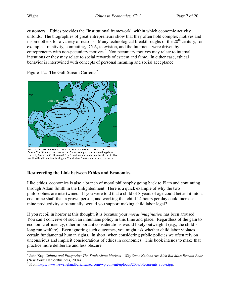customers. Ethics provides the "institutional framework" within which economic activity unfolds. The biographies of great entrepreneurs show that they often hold complex motives and inspire others for a variety of reasons. Many technological breakthroughs of the  $20<sup>th</sup>$  century, for example—relativity, computing, DNA, television, and the Internet—were driven by entrepreneurs with non-pecuniary motives.<sup>6</sup> Non pecuniary motives may relate to internal intentions or they may relate to social rewards of esteem and fame. In either case, ethical behavior is intertwined with concepts of personal meaning and social acceptance.

Figure 1.2: The Gulf Stream Currents<sup>7</sup>



The Gulf Stream relative to the surface circulation of the Atlantic Ocean. The Stream contains water from the equatorial current system (mostly from the Caribbean/Gulf of Mexico) and water recirculated in the North Atlantic subtropical gyre. The dashed lines denote cool currents.

#### **Resurrecting the Link between Ethics and Economics**

Like ethics, economics is also a branch of moral philosophy going back to Plato and continuing through Adam Smith in the Enlightenment. Here is a quick example of why the two philosophies are intertwined: If you were told that a child of 8 years of age could better fit into a coal mine shaft than a grown person, and working that child 14 hours per day could increase mine productivity substantially, would you support making child labor legal?

If you recoil in horror at this thought, it is because your *moral imagination* has been aroused. You can't conceive of such an inhumane policy in this time and place. Regardless of the gain to economic efficiency, other important considerations would likely outweigh it (e.g., the child's long run welfare). Even ignoring such outcomes, you might ask whether child labor violates certain fundamental human rights. In short, when considering public policies we often rely on unconscious and implicit considerations of ethics in economics. This book intends to make that practice more deliberate and less obscure.

 6 John Kay, *Culture and Prosperity: The Truth About Markets—Why Some Nations Are Rich But Most Remain Poor* 

<sup>(</sup>New York: HarperBusiness, 2004).<br><sup>7</sup> From <u>http://www.newenglandburialsatsea.com/wp-content/uploads/2009/06/currents\_route.jpg</u>.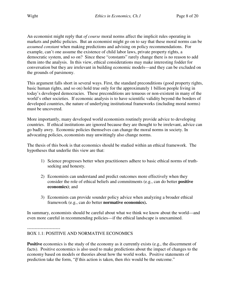An economist might reply that *of course* moral norms affect the implicit rules operating in markets and public policies. But an economist might go on to say that these moral norms can be *assumed constant* when making predictions and advising on policy recommendations. For example, can't one assume the existence of child labor laws, private property rights, a democratic system, and so on? Since these "constants" rarely change there is no reason to add them into the analysis. In this view, ethical considerations may make interesting fodder for conversation but they are irrelevant in building economic models—and they can be excluded on the grounds of parsimony.

This argument falls short in several ways. First, the standard preconditions (good property rights, basic human rights, and so on) hold true only for the approximately 1 billion people living in today's developed democracies. These preconditions are tenuous or non-existent in many of the world's other societies. If economic analysis is to have scientific validity beyond the borders of developed countries, the nature of underlying institutional frameworks (including moral norms) must be uncovered.

More importantly, many developed world economists routinely provide advice to developing countries. If ethical institutions are ignored because they are thought to be irrelevant, advice can go badly awry. Economic policies themselves can change the moral norms in society. In advocating policies, economists may unwittingly also change norms.

The thesis of this book is that economics should be studied within an ethical framework. The hypotheses that underlie this view are that:

- 1) Science progresses better when practitioners adhere to basic ethical norms of truthseeking and honesty.
- 2) Economists can understand and predict outcomes more effectively when they consider the role of ethical beliefs and commitments (e.g., can do better **positive economics)**; and
- 3) Economists can provide sounder policy advice when analyzing a broader ethical framework (e.g., can do better **normative economics).**

In summary, economists should be careful about what we think we know about the world—and even more careful in recommending policies—if the ethical landscape is unexamined.

----------------------

#### BOX 1.1: POSITIVE AND NORMATIVE ECONOMICS

**Positive** economics is the study of the economy as it currently exists (e.g., the discernment of facts). Positive economics is also used to make predictions about the impact of changes to the economy based on models or theories about how the world works. Positive statements of prediction take the form, "*If* this action is taken, then *this* would be the outcome."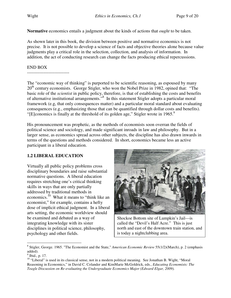**Normative** economics entails a judgment about the kinds of actions that *ought* to be taken.

As shown later in this book, the division between positive and normative economics is not precise. It is not possible to develop a science of facts and objective theories alone because value judgments play a critical role in the selection, collection, and analysis of information. In addition, the act of conducting research can change the facts producing ethical repercussions.

#### END BOX

----------------------------

The "economic way of thinking" is purported to be scientific reasoning, as espoused by many 20<sup>th</sup> century economists. George Stigler, who won the Nobel Prize in 1982, opined that: "The basic role of the *scientist* in public policy, therefore, is that of establishing the costs and benefits of alternative institutional arrangements."<sup>8</sup> In this statement Stigler adopts a particular moral framework (e.g, that only consequences matter) and a particular moral standard about evaluating consequences (e.g., emphasizing those that can be quantified through dollar costs and benefits). "[E]conomics is finally at the threshold of its golden age," Stigler wrote in 1965. $9$ 

His pronouncement was prophetic, as the methods of economists soon overran the fields of political science and sociology, and made significant inroads in law and philosophy. But in a larger sense, as economics spread across other subjects, the discipline has also drawn inwards in terms of the questions and methods considered. In short, economics became less an active participant in a liberal education.

#### **1.2 LIBERAL EDUCATION**

Virtually all public policy problems cross disciplinary boundaries and raise substantial normative questions. A liberal education requires stretching one's critical thinking skills in ways that are only partially addressed by traditional methods in economics.<sup>10</sup> What it means to "think like an economist," for example, contains a hefty dose of implicit ethical judgment. In a liberal arts setting, the economic worldview should be examined and debated as a way of integrating knowledge with its sister disciplines in political science, philosophy, psychology and other fields.



Shockoe Bottom site of Lumpkin's Jail—is called the "Devil's Half Acre." This is just north and east of the downtown train station, and is today a nightclubbing area.

 $\ddot{\phantom{a}}$ 8 Stigler, George. 1965. "The Economist and the State," *American Economic Review* 55(1/2)(March), p. 2 (emphasis added).

 $<sup>9</sup>$  Ibid., p. 17.</sup>

<sup>&</sup>lt;sup>10</sup> "Liberal" is used in its classical sense, not in a modern political meaning. See Jonathan B. Wight, "Moral Reasoning in Economics," in David C. Colander and KimMarie McGoldrick, eds., *Educating Economists: The Teagle Discussion on Re-evaluating the Undergraduate Economics Major (Edward Elgar, 2009).*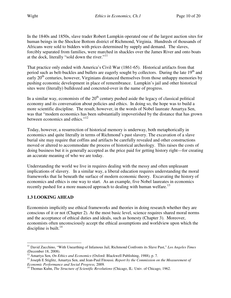In the 1840s and 1850s, slave trader Robert Lumpkin operated one of the largest auction sites for human beings in the Shockoe Bottom district of Richmond, Virginia. Hundreds of thousands of Africans were sold to bidders with prices determined by supply and demand. The slaves, forcibly separated from families, were marched in shackles over the James River and onto boats at the dock, literally "sold down the river."<sup>11</sup>

That practice only ended with America's Civil War (1861-65). Historical artifacts from that period such as belt-buckles and bullets are eagerly sought by collectors. During the late  $19<sup>th</sup>$  and early  $20<sup>th</sup>$  centuries, however, Virginians distanced themselves from those unhappy memories by pushing economic development in place of remembrance. Lumpkin's jail and other historical sites were (literally) bulldozed and concreted-over in the name of progress.

In a similar way, economists of the  $20<sup>th</sup>$  century pushed aside the legacy of classical political economy and its conversation about policies and ethics. In doing so, the hope was to build a more scientific discipline. The result, however, in the words of Nobel laureate Amartya Sen, was that "modern economics has been substantially impoverished by the distance that has grown between economics and ethics."<sup>12</sup>

Today, however, a resurrection of historical memory is underway, both metaphorically in economics and quite literally in terms of Richmond's past slavery. The excavation of a slave burial site may require that coffins and artifacts be carefully revealed and other constructions moved or altered to accommodate the process of historical archeology. This raises the costs of doing business but it is generally accepted as the price paid for getting history right—for creating an accurate meaning of who we are today.

Understanding the world we live in requires dealing with the messy and often unpleasant implications of slavery. In a similar way, a liberal education requires understanding the moral frameworks that lie beneath the surface of modern economic theory. Excavating the history of economics and ethics is one way to start. As an example, five Nobel laureates in economics recently pushed for a more nuanced approach to dealing with human welfare.<sup>13</sup>

#### **1.3 LOOKING AHEAD**

Economists implicitly use ethical frameworks and theories in doing research whether they are conscious of it or not (Chapter 2). At the most basic level, science requires shared moral norms and the acceptance of ethical duties and ideals, such as honesty (Chapter 3). Moreover, economists often unconsciously accept the ethical assumptions and worldview upon which the discipline is built. $^{14}$ 

 $\ddot{\phantom{a}}$ <sup>11</sup> David Zucchino, "With Unearthing of Infamous Jail, Richmond Confronts its Slave Past," Los Angeles Times (December 18, 2008).

<sup>&</sup>lt;sup>12</sup> Amartya Sen, *On Ethics and Economics* (Oxford: Blackwell Publishing, 1988), p. 7.

<sup>13</sup> Joseph E Stiglitz, Amartya Sen, and Jean-Paul Fitoussi. *Report by the Commission on the Measurement of Economic Performance and Social Progress,* 2009*.*

<sup>&</sup>lt;sup>14</sup> Thomas Kuhn, *The Structure of Scientific Revolutions* (Chicago, IL: Univ. of Chicago, 1962.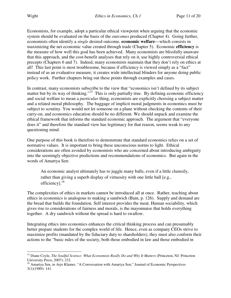l

Economists, for example, adopt a particular ethical viewpoint when arguing that the economic system should be evaluated on the basis of the *outcomes* produced (Chapter 4). Going further, economists often identify a *single* desired outcome, **economic welfare**—which consists in maximizing the net economic value created through trade (Chapter 5). Economic **efficiency** is the measure of how well this goal has been achieved. Many economists are blissfully unaware that this approach, and the cost-benefit analyses that rely on it, use highly controversial ethical precepts (Chapters 6 and 7). Indeed, many economists maintain that they don't rely on ethics at all! This last point is most troublesome, because if efficiency is viewed simply as a "fact" instead of as an evaluative measure, it creates wide intellectual blinders for anyone doing public policy work. Further chapters bring out these points through examples and cases.

In contrast, many economists subscribe to the view that "economics isn't defined by its subject matter but by its way of thinking."<sup>15</sup> This is only partially true. By defining economic efficiency and social welfare to mean a *particular* thing, economists are explicitly choosing a subject matter and a related moral philosophy. The baggage of implicit moral judgments in economics must be subject to scrutiny. You would not let someone on a plane without checking the contents of their carry-on, and economics education should be no different. We should unpack and examine the ethical framework that informs the standard economic approach. The argument that "everyone does it" and therefore the standard view has legitimacy for that reason, seems weak to any questioning mind.

One purpose of this book is therefore to demonstrate that standard economics relies on a set of normative values. It is important to bring these unconscious norms to light. Ethical considerations are often avoided by economists who are concerned about introducing ambiguity into the seemingly objective predictions and recommendations of economics. But again in the words of Amartya Sen:

An economic analyst ultimately has to juggle many balls, even if a little clumsily, rather than giving a superb display of virtuosity with one little ball [e.g., efficiency].<sup>16</sup>

The complexities of ethics in markets cannot be introduced all at once. Rather, teaching about ethics in economics is analogous to making a sandwich (Bain, p. 126). Supply and demand are the bread that builds the foundation. Self interest provides the meat. Human sociability, which gives rise to considerations of fairness and morals, is the mayonnaise that holds everything together. A dry sandwich without the spread is hard to swallow.

Integrating ethics into economics enhances the critical thinking process and can presumably better prepare students for the complex world of life. Hence, even as company CEOs strive to maximize profits (mandated by the fiduciary duty to shareholders), they must also conform their actions to the "basic rules of the society, both those embodied in law and those embodied in

<sup>&</sup>lt;sup>15</sup> Diane Coyle, *The Soulful Science: What Economists Really Do and Why It Matters (Princeton, NJ: Princeton* University Press, 2007): 232.

<sup>&</sup>lt;sup>16</sup> Amartya Sen, in Arjo Klamer, "A Conversation with Amartya Sen," Journal of Economic Perspectives 3(1)(1989): 141.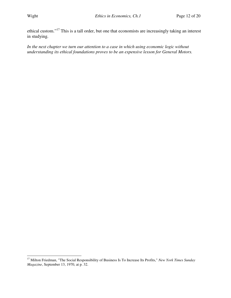ethical custom."<sup>17</sup> This is a tall order, but one that economists are increasingly taking an interest in studying.

*In the next chapter we turn our attention to a case in which using economic logic without understanding its ethical foundations proves to be an expensive lesson for General Motors.* 

l <sup>17</sup> Milton Friedman, "The Social Responsibility of Business Is To Increase Its Profits," *New York Times Sunday Magazine*, September 13, 1970, at p. 32.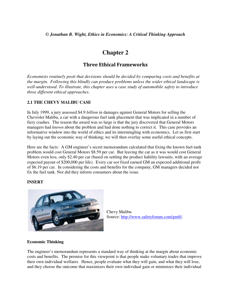#### **Chapter 2**

#### Three Ethical Frameworks

*Economists routinely posit that decisions should be decided by comparing costs and benefits at the margin. Following this blindly can produce problems unless the wider ethical landscape is well-understood. To illustrate, this chapter uses a case study of automobile safety to introduce three different ethical approaches.* 

#### **2.1 THE CHEVY MALIBU CASE**

In July 1999, a jury assessed \$4.9 *billion* in damages against General Motors for selling the Chevrolet Malibu, a car with a dangerous fuel tank placement that was implicated in a number of fiery crashes. The reason the award was so large is that the jury discovered that General Motors managers had *known* about the problem and had done nothing to correct it. This case provides an informative window into the world of ethics and its intermingling with economics. Let us first start by laying out the economic way of thinking; we will then overlay some useful ethical concepts.

Here are the facts: A GM engineer's secret memorandum calculated that fixing the known fuel-tank problem would cost General Motors \$8.59 per car. But leaving the car as it was would cost General Motors even less, only \$2.40 per car (based on settling the product liability lawsuits, with an average expected payout of \$200,000 per life). Every car *not* fixed earned GM an expected additional profit of \$6.19 per car. In considering the costs and benefits for the company, GM managers decided not fix the fuel tank. Nor did they inform consumers about the issue.

#### **INSERT**



Chevy Malibu Source: http://www.safetyforum.com/gmft/.

#### **Economic Thinking**

The engineer's memorandum represents a standard way of thinking at the margin about economic costs and benefits. The premise for this viewpoint is that people make voluntary trades that improve their own individual welfares. Hence, people evaluate what they will gain, and what they will lose, and they choose the outcome that maximizes their own individual gain or minimizes their individual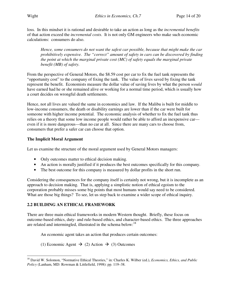loss. In this mindset it is rational and desirable to take an action as long as the *incremental benefits*  of that action exceed the *incremental costs*. It is not only GM engineers who make such economic calculations: consumers do also.

*Hence, some consumers do not want the safest car possible, because that might make the car prohibitively expensive. The "correct" amount of safety in cars can be discovered by finding the point at which the marginal private cost (MC) of safety equals the marginal private benefit (MB) of safety.* 

From the perspective of General Motors, the \$8.59 cost per car to fix the fuel tank represents the "opportunity cost" to the company of fixing the tank. The value of lives saved by fixing the tank represent the benefit. Economists measure the dollar value of saving lives by what the person *would*  have earned had he or she remained alive or working for a normal time period, which is usually how a court decides on wrongful death settlements.

Hence, not all lives are valued the same in economics and law. If the Malibu is built for middle to low-income consumers, the death or disability earnings are lower than if the car were built for someone with higher income potential. The economic analysis of whether to fix the fuel tank thus relies on a theory that some low income people would rather be able to afford an inexpensive car even if it is more dangerous—than no car at all. Since there are many cars to choose from, consumers that prefer a safer car can choose that option.

#### **The Implicit Moral Argument**

Let us examine the structure of the moral argument used by General Motors managers:

- Only outcomes matter to ethical decision making.
- An action is morally justified if it produces the best outcomes specifically for this company.
- The best outcome for this company is measured by dollar profits in the short run.

Considering the consequences for the company itself is certainly not wrong, but it is incomplete as an approach to decision making. That is, applying a simplistic notion of ethical egoism to the corporation probably misses some big points that most humans would say need to be considered. What are those big things? To see, let us step back to examine a wider scope of ethical inquiry.

#### **2.2 BUILDING AN ETHICAL FRAMEWORK**

There are three main ethical frameworks in modern Western thought. Briefly, these focus on outcome-based ethics, duty- and rule-based ethics, and character-based ethics. The three approaches are related and intermingled, illustrated in the schema below: $^{18}$ 

An economic agent takes an action that produces certain outcomes:

(1) Economic Agent  $\rightarrow$  (2) Action  $\rightarrow$  (3) Outcomes

 $\overline{a}$ <sup>18</sup> David W. Solomon, "Normative Ethical Theories," in: Charles K. Wilber (ed.), *Economics, Ethics, and Public Policy* (Lanham, MD: Rowman & Littlefield, 1998): pp. 119–38.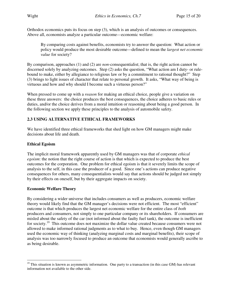Orthodox economics puts its focus on step (3), which is an analysis of outcomes or consequences. Above all, economists analyze a particular outcome—economic welfare:

By comparing costs against benefits, economists try to answer the question: What action or policy would produce the most desirable outcome—defined to mean the *largest net economic value* for society?

By comparison, approaches (1) and (2) are *non*-consequentialist; that is, the right action cannot be discerned solely by analyzing outcomes. Step (2) asks the question, "What action am I duty- or rulebound to make, either by allegiance to religious law or by a commitment to rational thought?" Step (3) brings to light issues of character that relate to personal growth. It asks, "What way of being is virtuous and how and why should I become such a virtuous person?"

When pressed to come up with a *reason* for making an ethical choice, people give a variation on these three answers: the choice produces the best consequences, the choice adheres to basic rules or duties, and/or the choice derives from a moral intuition or reasoning about being a good person. In the following section we apply these principles to the analysis of automobile safety.

#### **2.3 USING ALTERNATIVE ETHICAL FRAMEWORKS**

We have identified three ethical frameworks that shed light on how GM managers might make decisions about life and death.

#### **Ethical Egoism**

 $\overline{a}$ 

The implicit moral framework apparently used by GM managers was that of corporate *ethical egoism*: the notion that the right course of action is that which is expected to produce the best outcomes for the corporation. One problem for ethical egoism is that it severely limits the scope of analysis to the self, in this case the producer of a good. Since one's actions can produce negative consequences for others, many consequentialists would say that actions should be judged not simply by their effects on oneself, but by their aggregate impacts on society.

#### **Economic Welfare Theory**

By considering a wider universe that includes consumers as well as producers, economic welfare theory would likely find that the GM manager's decisions were not efficient. The most "efficient" outcome is that which produces the largest net economic welfare for the entire class of *both* producers and consumers, not simply to one particular company or its shareholders. If consumers are misled about the safety of the car (not informed about the faulty fuel tank), the outcome is inefficient for society.<sup>19</sup> This outcome does not maximize the dollar value created because consumers were not allowed to make informed rational judgments as to what to buy. Hence, even though GM managers used the economic way of thinking (analyzing marginal costs and marginal benefits), their scope of analysis was too narrowly focused to produce an outcome that economists would generally ascribe to as being desirable.

 $19$  This situation is known as asymmetric information. One party to a transaction (in this case GM) has relevant information not available to the other side.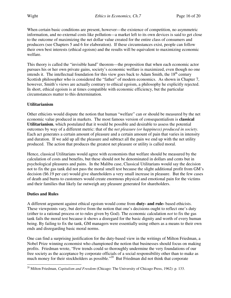When certain basic conditions are present, however—the existence of competition, no asymmetric information, and no external costs like pollution—a market left to its own devices is said to get close to the outcome of maximizing the net dollar value created for the entire class of consumers and producers (see Chapters 5 and 6 for elaboration). If these circumstances exist, people can follow their own best interests (ethical egoism) and the results will be equivalent to maximizing economic welfare.

This theory is called the "invisible hand" theorem—the proposition that when each economic actor pursues his or her own private gains, society's economic welfare is maximized, even though no one intends it. The intellectual foundation for this view goes back to Adam Smith, the  $18<sup>th</sup>$  century Scottish philosopher who is considered the "father" of modern economics. As shown in Chapter 7, however, Smith's views are actually contrary to ethical egoism, a philosophy he explicitly rejected. In short, ethical egoism is at times compatible with economic efficiency, but the particular circumstances matter to this determination.

#### **Utilitarianism**

Other ethicists would dispute the notion that human "welfare" can or should be measured by the net economic value produced in markets. The most famous version of consequentialism is **classical Utilitarianism**, which postulated that it would be possible and desirable to assess the potential outcomes by way of a different metric: that of the *net pleasure (or happiness) produced in society*. Each act generates a certain amount of pleasure and a certain amount of pain that varies in intensity and duration. If we add up all the pleasure and subtract all the pain we end up with the net utility produced. The action that produces the greatest net pleasure or utility is called moral.

Hence, classical Utilitarians would agree with economists that welfare should be measured by the calculation of costs and benefits, but these should not be denominated in dollars and cents but in psychological pleasures and pains. In the Malibu case, Classical Utilitarians would say the decision not to fix the gas tank did not pass the moral smell test because the slight additional profit from GM's decision (\$6.19 per car) would give shareholders a very small increase in pleasure. But the few cases of death and burns to customers would create enormous physical and emotional pain for the victims and their families that likely far outweigh any pleasure generated for shareholders.

#### **Duties and Rules**

A different argument against ethical egoism would come from **duty- and rule-** based ethicists. These viewpoints vary, but derive from the notion that one's decisions ought to reflect one's duty (either to a rational process or to rules given by God). The economic calculation *not* to fix the gas tank fails the moral test because it shows a disregard for the basic dignity and worth of every human being. By failing to fix the tank, GM managers were essentially using others as a means to their own ends and disregarding basic moral norms.

One can find a surprising justification for the duty-based view in the writings of Milton Friedman, a Nobel Prize winning economist who championed the notion that businesses should focus on making profits. Friedman wrote, "Few trends could so thoroughly undermine the very foundations of our free society as the acceptance by corporate officials of a social responsibility other than to make as much money for their stockholders as possible."<sup>20</sup> But Friedman did not think that corporate

 $\overline{a}$ <sup>20</sup> Milton Friedman, *Capitalism and Freedom* (Chicago: The University of Chicago Press, 1962): p. 133.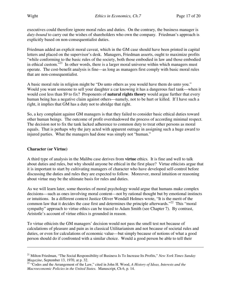executives could therefore ignore moral rules and duties. On the contrary, the business manager is *duty-bound* to carry out the wishes of shareholders who own the company. Friedman's approach is explicitly based on non-consequentialist duties.

Friedman added an explicit moral caveat, which in the GM case should have been printed in capital letters and placed on the supervisor's desk. Managers, Friedman asserts, ought to maximize profits "while conforming to the basic rules of the society, both those embodied in law and those embodied in ethical custom."<sup>21</sup> In other words, there is a larger moral universe within which managers must operate. The cost-benefit analysis is fine—as long as managers first comply with basic moral rules that are non-consequentialist.

A basic moral rule in religion might be "Do unto others as you would have them do unto you." Would you want someone to sell your daughter a car knowing it has a dangerous fuel tank—when it would cost less than \$9 to fix? Proponents of **natural rights theory** would argue further that every human being has a negative claim against others—namely, not to be hurt or killed. If I have such a right, it implies that GM has a duty not to abridge that right.

So, a key complaint against GM managers is that they failed to consider basic ethical duties toward other human beings. The outcome of profit overshadowed the process of according minimal respect. The decision not to fix the tank lacked adherence to common duty to treat other persons as moral equals. That is perhaps why the jury acted with apparent outrage in assigning such a huge award to injured parties. What the managers had done was simply not "human."

#### **Character (or Virtue)**

 $\overline{a}$ 

A third type of analysis in the Malibu case derives from **virtue** ethics. It is fine and well to talk about duties and rules, but why should anyone be ethical in the first place? Virtue ethicists argue that it is important to start by cultivating managers of character who have developed self-control before discussing the duties and rules they are expected to follow. Moreover, moral intuition or reasoning about virtue may be the ultimate basis for rules and duties.

As we will learn later, some theories of moral psychology would argue that humans make complex decisions—such as ones involving moral content—not by rational thought but by emotional instincts or intuitions. In a different context Justice Oliver Wendall Holmes wrote, "It is the merit of the common law that it decides the case first and determines the principle afterwards."<sup>22</sup> This "moral" sympathy" approach to virtue ethics can be traced to Adam Smith (see Chapter 7). By contrast, Aristotle's account of virtue ethics is grounded in reason.

To virtue ethicists the GM managers' decision would not pass the smell test not because of calculations of pleasure and pain as in classical Utilitarianism and not because of societal rules and duties, or even for calculations of economic value—but simply because of notions of what a good person should do if confronted with a similar choice. Would a good person be able to tell their

<sup>21</sup> Milton Friedman, "The Social Responsibility of Business Is To Increase Its Profits," *New York Times Sunday Magazine*, September 13, 1970, at p. 32.

<sup>22</sup> "Codes and the Arrangement of the Law," cited in John H. Wood, *A History of Ideas, Interests and the Macroeconomic Policies in the United States.* Manuscript, Ch 6, p. 14.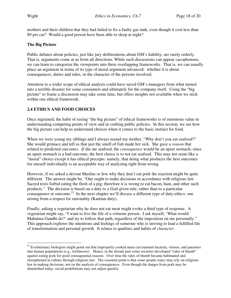mothers and their children that they had failed to fix a faulty gas tank, even though it cost less than \$9 per car? Would a good person have been able to sleep at night?

#### **The Big Picture**

Public debates about policies, just like jury deliberations about GM's liability, are rarely orderly. That is, arguments come at us from all directions. While such discussions can appear cacophonous, we can learn to categorize the viewpoints into three overlapping frameworks. That is, we can usually place an argument in terms of its type of moral argument advanced: whether it is about consequences, duties and rules, or the character of the persons involved.

Attention to a wider scope of ethical analysis could have saved GM's managers from what turned into a terrible disaster for some consumers and ultimately for the company itself. Using the "big picture" to frame a discussion may take some time, but offers insights not available when we stick within one ethical framework.

#### **2.4 ETHICS AND FOOD CHOICES**

Once ingrained, the habit of seeing "the big picture" of ethical frameworks is of enormous value in understanding competing points of view and in crafting public policies. In this section, we see how the big picture can help us understand choices when it comes to the basic instinct for food.

When we were young my siblings and I always teased my mother, "Why don't you eat seafood?" She would grimace and tell us that just the smell of fish made her sick. She gave a *reason* that related to predicted *outcomes*. *If* she ate seafood, the *consequence* would be an upset stomach; since an upset stomach is a bad outcome, the best choice is to not eat seafood. This may not seem like a "moral" choice except it has ethical precepts: namely, that doing what produces the best outcomes for oneself individually is an acceptable way of analyzing right from wrong.

However, if we asked a devout Muslim or Jew why they don't eat pork the reaction might be quite different. The answer might be, "One ought to make decisions in accordance with religious law. Sacred texts forbid eating the flesh of a pig; therefore it is wrong to eat bacon, ham, and other such products." The decision is based on a duty to a God-given rule, rather than to a particular consequence or outcome.<sup>23</sup> In the next chapter we'll discuss a different type of duty-ethics: one arising from a respect for rationality (Kantian duty).

Finally, asking a vegetarian why he does not eat meat might evoke a third type of response. A vegetarian might say, "I want to live the life of a virtuous person. I ask myself, 'What would Mahatma Gandhi do?' and try to follow that path, regardless of the imposition on me personally." This approach explores the intentions and feelings of someone who is striving to lead a fulfilled life of transformation and personal growth. It relates to qualities and habits of *character*.

 $\overline{a}$ <sup>23</sup> Evolutionary biologists might point out that improperly cooked meat can transmit bacteria, viruses, and parasites into human populations (e.g., trichinosis). Hence, in the distant past some societies developed "rules of thumb" against eating pork for good consequential reasons. Over time the rules of thumb became habituated and strengthened in culture through religious law. The essential point is that some people *today* may rely on religious law in making decisions, not on the analysis of consequences. Even though the danger from pork may be diminished today, social prohibitions may not adjust quickly.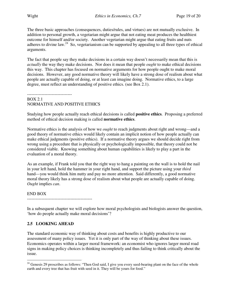The three basic approaches (consequences, duties/rules, and virtues) are not mutually exclusive. In addition to personal growth, a vegetarian might argue that not eating meat produces the healthiest outcome for himself and/or society. Another vegetarian might argue that eating fruits and nuts adheres to divine law.<sup>24</sup> So, vegetarianism can be supported by appealing to all three types of ethical arguments.

The fact that people say they make decisions in a certain way doesn't necessarily mean that this is *actually* the way they make decisions. Nor does it mean that people *ought* to make ethical decisions this way. This chapter has focused on normative arguments for how people ought to make moral decisions. However, any good normative theory will likely have a strong dose of realism about what people are actually capable of doing, or at least can imagine doing. Normative ethics, to a large degree, must reflect an understanding of positive ethics. (see Box 2.1).

-------------------------------

#### BOX 2.1 NORMATIVE AND POSITIVE ETHICS

Studying how people actually reach ethical decisions is called **positive ethics**. Proposing a preferred method of ethical decision making is called **normative ethics**.

Normative ethics is the analysis of how we *ought* to reach judgments about right and wrong—and a good theory of normative ethics would likely contain an implicit notion of how people actually can make ethical judgments (positive ethics). If a normative theory argues we should decide right from wrong using a procedure that is physically or psychologically impossible, that theory could not be considered viable. Knowing something about human capabilities is likely to play a part in the evaluation of a moral theory.

As an example, if Frank told you that the right way to hang a painting on the wall is to hold the nail in your left hand, hold the hammer in your right hand, and support the picture using your *third*  hand—you would think him nutty and pay no more attention. Said differently, a good normative moral theory likely has a strong dose of realism about what people are actually capable of doing. *Ought* implies *can*.

#### END BOX

---------------------------------------------

In a subsequent chapter we will explore how moral psychologists and biologists answer the question, 'how do people actually make moral decisions'?

#### **2.5 LOOKING AHEAD**

The standard economic way of thinking about costs and benefits is highly productive to our assessment of many policy issues. Yet it is only part of the way of thinking about these issues. Economics operates within a larger moral framework: an economist who ignores larger moral road signs in making policy choices is thinking incompletely and thus failing to think critically about the issue.

 $\overline{a}$  $24$  Genesis 29 proscribes as follows: "Then God said, I give you every seed-bearing plant on the face of the whole earth and every tree that has fruit with seed in it. They will be yours for food."